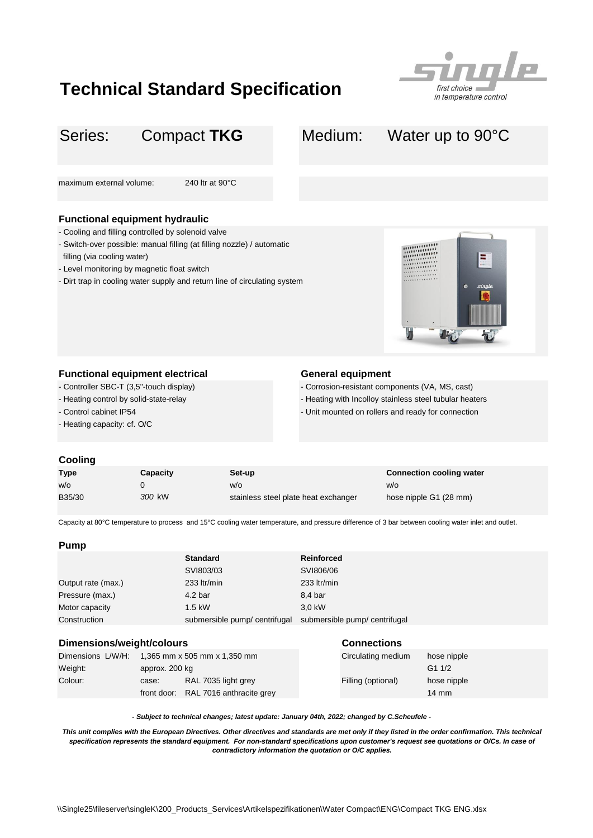## **Technical Standard Specification**



# Series: Compact TKG Medium: Water up to 90°C maximum external volume: 240 ltr at 90°C **Functional equipment hydraulic** - Dirt trap in cooling water supply and return line of circulating system **Functional equipment electrical <b>General equipment** Compact **TKG** - Cooling and filling controlled by solenoid valve - Switch-over possible: manual filling (at filling nozzle) / automatic filling (via cooling water) - Level monitoring by magnetic float switch

- Controller SBC-T (3,5"-touch display)
- Heating control by solid-state-relay
- Control cabinet IP54
- Heating capacity: cf. O/C
- Corrosion-resistant components (VA, MS, cast)
- Heating with Incolloy stainless steel tubular heaters
- Unit mounted on rollers and ready for connection

#### **Cooling**

| <b>Type</b> | Capacity | Set-up                               | <b>Connection cooling water</b> |
|-------------|----------|--------------------------------------|---------------------------------|
| w/o         |          | W/O                                  | W/O                             |
| B35/30      | 300 kW   | stainless steel plate heat exchanger | hose nipple G1 (28 mm)          |

Capacity at 80°C temperature to process and 15°C cooling water temperature, and pressure difference of 3 bar between cooling water inlet and outlet.

### **Pump**

|                    | <b>Standard</b>              | <b>Reinforced</b>            |
|--------------------|------------------------------|------------------------------|
|                    | SVI803/03                    | SVI806/06                    |
| Output rate (max.) | 233 ltr/min                  | 233 ltr/min                  |
| Pressure (max.)    | 4.2 <sub>bar</sub>           | 8,4 bar                      |
| Motor capacity     | $1.5$ kW                     | 3.0 kW                       |
| Construction       | submersible pump/centrifugal | submersible pump/centrifugal |

#### **Dimensions/weight/colours Connections**

| - - - - - - - - - - - - - - - - - |                                                |                                      |                    |                 |
|-----------------------------------|------------------------------------------------|--------------------------------------|--------------------|-----------------|
|                                   | Dimensions L/W/H: 1,365 mm x 505 mm x 1,350 mm |                                      | Circulating medium | hose nipple     |
| Weiaht:                           | approx. 200 kg                                 |                                      |                    | G11/2           |
| Colour:                           | case:                                          | RAL 7035 light grey                  | Filling (optional) | hose nipple     |
|                                   |                                                | front door: RAL 7016 anthracite grey |                    | $14 \text{ mm}$ |

*- Subject to technical changes; latest update: January 04th, 2022; changed by C.Scheufele -*

This unit complies with the European Directives. Other directives and standards are met only if they listed in the order confirmation. This technical *specification represents the standard equipment. For non-standard specifications upon customer's request see quotations or O/Cs. In case of contradictory information the quotation or O/C applies.*